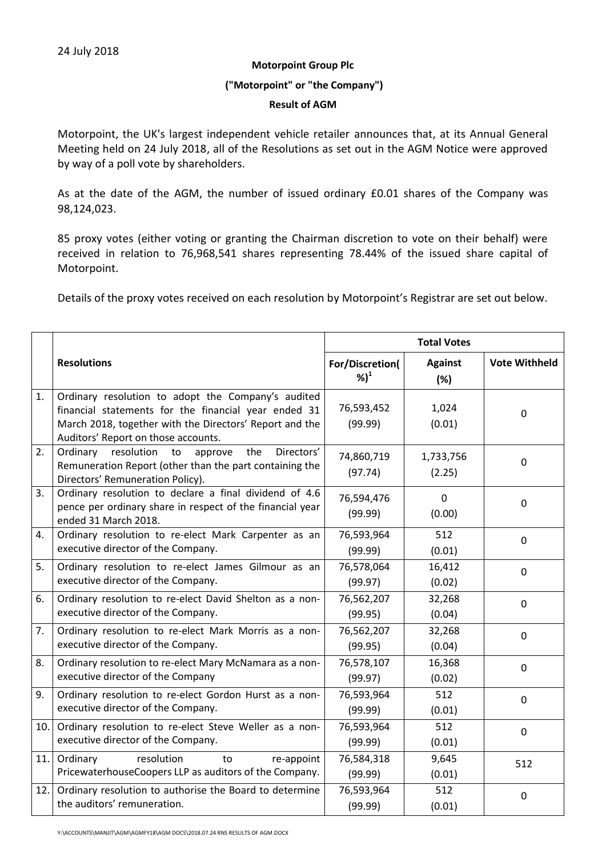### **Motorpoint Group Plc**

## **("Motorpoint" or "the Company")**

### **Result of AGM**

Motorpoint, the UK's largest independent vehicle retailer announces that, at its Annual General Meeting held on 24 July 2018, all of the Resolutions as set out in the AGM Notice were approved by way of a poll vote by shareholders.

As at the date of the AGM, the number of issued ordinary £0.01 shares of the Company was 98,124,023.

85 proxy votes (either voting or granting the Chairman discretion to vote on their behalf) were received in relation to 76,968,541 shares representing 78.44% of the issued share capital of Motorpoint.

Details of the proxy votes received on each resolution by Motorpoint's Registrar are set out below.

|      |                                                                                                                                                                                                              | <b>Total Votes</b>                  |                        |                      |
|------|--------------------------------------------------------------------------------------------------------------------------------------------------------------------------------------------------------------|-------------------------------------|------------------------|----------------------|
|      | <b>Resolutions</b>                                                                                                                                                                                           | For/Discretion(<br>$%$ <sup>1</sup> | <b>Against</b><br>(%)  | <b>Vote Withheld</b> |
| 1.   | Ordinary resolution to adopt the Company's audited<br>financial statements for the financial year ended 31<br>March 2018, together with the Directors' Report and the<br>Auditors' Report on those accounts. | 76,593,452<br>(99.99)               | 1,024<br>(0.01)        | $\mathbf 0$          |
| 2.   | Ordinary resolution<br>Directors'<br>approve<br>the<br>to<br>Remuneration Report (other than the part containing the<br>Directors' Remuneration Policy).                                                     | 74,860,719<br>(97.74)               | 1,733,756<br>(2.25)    | $\mathbf 0$          |
| 3.   | Ordinary resolution to declare a final dividend of 4.6<br>pence per ordinary share in respect of the financial year<br>ended 31 March 2018.                                                                  | 76,594,476<br>(99.99)               | $\mathbf{0}$<br>(0.00) | $\mathbf 0$          |
| 4.   | Ordinary resolution to re-elect Mark Carpenter as an<br>executive director of the Company.                                                                                                                   | 76,593,964<br>(99.99)               | 512<br>(0.01)          | $\mathbf 0$          |
| 5.   | Ordinary resolution to re-elect James Gilmour as an<br>executive director of the Company.                                                                                                                    | 76,578,064<br>(99.97)               | 16,412<br>(0.02)       | $\mathbf 0$          |
| 6.   | Ordinary resolution to re-elect David Shelton as a non-<br>executive director of the Company.                                                                                                                | 76,562,207<br>(99.95)               | 32,268<br>(0.04)       | $\mathbf 0$          |
| 7.   | Ordinary resolution to re-elect Mark Morris as a non-<br>executive director of the Company.                                                                                                                  | 76,562,207<br>(99.95)               | 32,268<br>(0.04)       | $\mathbf 0$          |
| 8.   | Ordinary resolution to re-elect Mary McNamara as a non-<br>executive director of the Company                                                                                                                 | 76,578,107<br>(99.97)               | 16,368<br>(0.02)       | $\mathbf 0$          |
| 9.   | Ordinary resolution to re-elect Gordon Hurst as a non-<br>executive director of the Company.                                                                                                                 | 76,593,964<br>(99.99)               | 512<br>(0.01)          | $\mathbf 0$          |
| 10.  | Ordinary resolution to re-elect Steve Weller as a non-<br>executive director of the Company.                                                                                                                 | 76,593,964<br>(99.99)               | 512<br>(0.01)          | $\mathbf 0$          |
| 11.  | Ordinary<br>resolution<br>to<br>re-appoint<br>PricewaterhouseCoopers LLP as auditors of the Company.                                                                                                         | 76,584,318<br>(99.99)               | 9,645<br>(0.01)        | 512                  |
| 12.1 | Ordinary resolution to authorise the Board to determine<br>the auditors' remuneration.                                                                                                                       | 76,593,964<br>(99.99)               | 512<br>(0.01)          | $\mathbf 0$          |